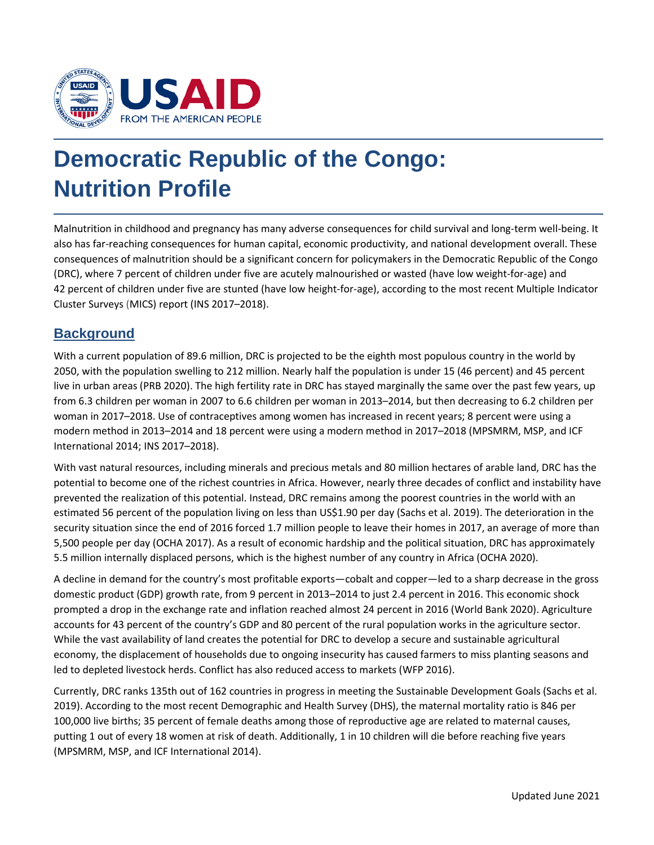

# **Democratic Republic of the Congo: Nutrition Profile**

Malnutrition in childhood and pregnancy has many adverse consequences for child survival and long-term well-being. It also has far-reaching consequences for human capital, economic productivity, and national development overall. These consequences of malnutrition should be a significant concern for policymakers in the Democratic Republic of the Congo (DRC), where 7 percent of children under five are acutely malnourished or wasted (have low weight-for-age) and 42 percent of children under five are stunted (have low height-for-age), according to the most recent Multiple Indicator Cluster Surveys (MICS) report (INS 2017–2018).

#### **Background**

With a current population of 89.6 million, DRC is projected to be the eighth most populous country in the world by 2050, with the population swelling to 212 million. Nearly half the population is under 15 (46 percent) and 45 percent live in urban areas (PRB 2020). The high fertility rate in DRC has stayed marginally the same over the past few years, up from 6.3 children per woman in 2007 to 6.6 children per woman in 2013–2014, but then decreasing to 6.2 children per woman in 2017–2018. Use of contraceptives among women has increased in recent years; 8 percent were using a modern method in 2013–2014 and 18 percent were using a modern method in 2017–2018 (MPSMRM, MSP, and ICF International 2014; INS 2017–2018).

With vast natural resources, including minerals and precious metals and 80 million hectares of arable land, DRC has the potential to become one of the richest countries in Africa. However, nearly three decades of conflict and instability have prevented the realization of this potential. Instead, DRC remains among the poorest countries in the world with an estimated 56 percent of the population living on less than US\$1.90 per day (Sachs et al. 2019). The deterioration in the security situation since the end of 2016 forced 1.7 million people to leave their homes in 2017, an average of more than 5,500 people per day (OCHA 2017). As a result of economic hardship and the political situation, DRC has approximately 5.5 million internally displaced persons, which is the highest number of any country in Africa (OCHA 2020).

A decline in demand for the country's most profitable exports—cobalt and copper—led to a sharp decrease in the gross domestic product (GDP) growth rate, from 9 percent in 2013–2014 to just 2.4 percent in 2016. This economic shock prompted a drop in the exchange rate and inflation reached almost 24 percent in 2016 (World Bank 2020). Agriculture accounts for 43 percent of the country's GDP and 80 percent of the rural population works in the agriculture sector. While the vast availability of land creates the potential for DRC to develop a secure and sustainable agricultural economy, the displacement of households due to ongoing insecurity has caused farmers to miss planting seasons and led to depleted livestock herds. Conflict has also reduced access to markets (WFP 2016).

Currently, DRC ranks 135th out of 162 countries in progress in meeting the Sustainable Development Goals (Sachs et al. 2019). According to the most recent Demographic and Health Survey (DHS), the maternal mortality ratio is 846 per 100,000 live births; 35 percent of female deaths among those of reproductive age are related to maternal causes, putting 1 out of every 18 women at risk of death. Additionally, 1 in 10 children will die before reaching five years (MPSMRM, MSP, and ICF International 2014).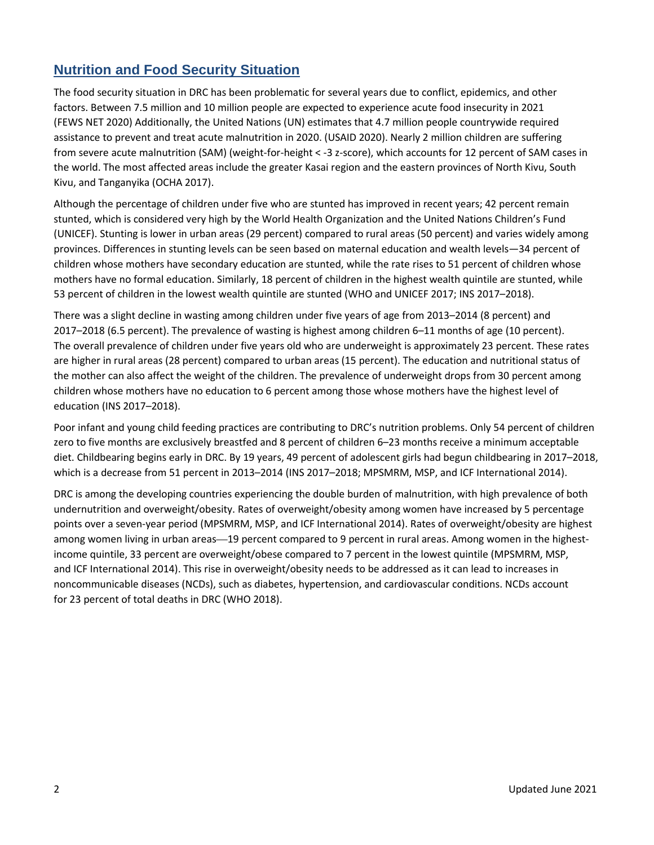## **Nutrition and Food Security Situation**

The food security situation in DRC has been problematic for several years due to conflict, epidemics, and other factors. Between 7.5 million and 10 million people are expected to experience acute food insecurity in 2021 (FEWS NET 2020) Additionally, the United Nations (UN) estimates that 4.7 million people countrywide required assistance to prevent and treat acute malnutrition in 2020. (USAID 2020). Nearly 2 million children are suffering from severe acute malnutrition (SAM) (weight-for-height < -3 z-score), which accounts for 12 percent of SAM cases in the world. The most affected areas include the greater Kasai region and the eastern provinces of North Kivu, South Kivu, and Tanganyika (OCHA 2017).

Although the percentage of children under five who are stunted has improved in recent years; 42 percent remain stunted, which is considered very high by the World Health Organization and the United Nations Children's Fund (UNICEF). Stunting is lower in urban areas (29 percent) compared to rural areas (50 percent) and varies widely among provinces. Differences in stunting levels can be seen based on maternal education and wealth levels—34 percent of children whose mothers have secondary education are stunted, while the rate rises to 51 percent of children whose mothers have no formal education. Similarly, 18 percent of children in the highest wealth quintile are stunted, while 53 percent of children in the lowest wealth quintile are stunted (WHO and UNICEF 2017; INS 2017–2018).

There was a slight decline in wasting among children under five years of age from 2013–2014 (8 percent) and 2017–2018 (6.5 percent). The prevalence of wasting is highest among children 6–11 months of age (10 percent). The overall prevalence of children under five years old who are underweight is approximately 23 percent. These rates are higher in rural areas (28 percent) compared to urban areas (15 percent). The education and nutritional status of the mother can also affect the weight of the children. The prevalence of underweight drops from 30 percent among children whose mothers have no education to 6 percent among those whose mothers have the highest level of education (INS 2017–2018).

Poor infant and young child feeding practices are contributing to DRC's nutrition problems. Only 54 percent of children zero to five months are exclusively breastfed and 8 percent of children 6–23 months receive a minimum acceptable diet. Childbearing begins early in DRC. By 19 years, 49 percent of adolescent girls had begun childbearing in 2017–2018, which is a decrease from 51 percent in 2013–2014 (INS 2017–2018; MPSMRM, MSP, and ICF International 2014).

DRC is among the developing countries experiencing the double burden of malnutrition, with high prevalence of both undernutrition and overweight/obesity. Rates of overweight/obesity among women have increased by 5 percentage points over a seven-year period (MPSMRM, MSP, and ICF International 2014). Rates of overweight/obesity are highest among women living in urban areas—19 percent compared to 9 percent in rural areas. Among women in the highestincome quintile, 33 percent are overweight/obese compared to 7 percent in the lowest quintile (MPSMRM, MSP, and ICF International 2014). This rise in overweight/obesity needs to be addressed as it can lead to increases in noncommunicable diseases (NCDs), such as diabetes, hypertension, and cardiovascular conditions. NCDs account for 23 percent of total deaths in DRC (WHO 2018).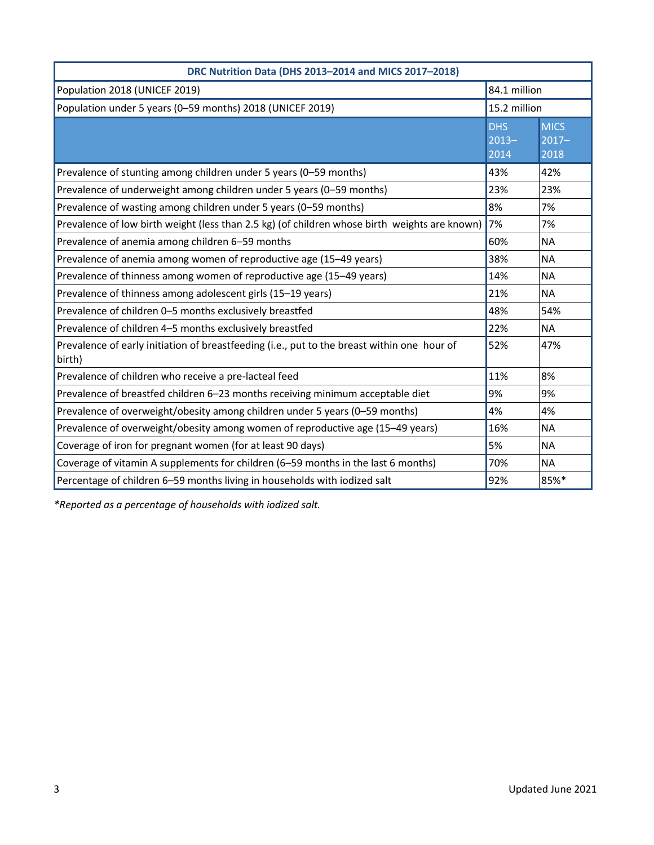| DRC Nutrition Data (DHS 2013-2014 and MICS 2017-2018)                                                 |                                |                                  |  |  |  |
|-------------------------------------------------------------------------------------------------------|--------------------------------|----------------------------------|--|--|--|
| Population 2018 (UNICEF 2019)                                                                         | 84.1 million                   |                                  |  |  |  |
| Population under 5 years (0-59 months) 2018 (UNICEF 2019)<br>15.2 million                             |                                |                                  |  |  |  |
|                                                                                                       | <b>DHS</b><br>$2013 -$<br>2014 | <b>MICS</b><br>$ 2017 -$<br>2018 |  |  |  |
| Prevalence of stunting among children under 5 years (0-59 months)                                     | 43%                            | 42%                              |  |  |  |
| Prevalence of underweight among children under 5 years (0-59 months)                                  | 23%                            | 23%                              |  |  |  |
| Prevalence of wasting among children under 5 years (0-59 months)                                      | 8%                             | 7%                               |  |  |  |
| Prevalence of low birth weight (less than 2.5 kg) (of children whose birth weights are known)         | 7%                             | 7%                               |  |  |  |
| Prevalence of anemia among children 6-59 months                                                       | 60%                            | <b>NA</b>                        |  |  |  |
| Prevalence of anemia among women of reproductive age (15-49 years)                                    | 38%                            | <b>NA</b>                        |  |  |  |
| Prevalence of thinness among women of reproductive age (15-49 years)                                  | 14%                            | <b>NA</b>                        |  |  |  |
| Prevalence of thinness among adolescent girls (15-19 years)                                           | 21%                            | <b>NA</b>                        |  |  |  |
| Prevalence of children 0-5 months exclusively breastfed                                               | 48%                            | 54%                              |  |  |  |
| Prevalence of children 4-5 months exclusively breastfed                                               | 22%                            | <b>NA</b>                        |  |  |  |
| Prevalence of early initiation of breastfeeding (i.e., put to the breast within one hour of<br>birth) | 52%                            | 47%                              |  |  |  |
| Prevalence of children who receive a pre-lacteal feed                                                 | 11%                            | 8%                               |  |  |  |
| Prevalence of breastfed children 6-23 months receiving minimum acceptable diet                        | 9%                             | 9%                               |  |  |  |
| Prevalence of overweight/obesity among children under 5 years (0-59 months)                           | 4%                             | 4%                               |  |  |  |
| Prevalence of overweight/obesity among women of reproductive age (15-49 years)                        | 16%                            | <b>NA</b>                        |  |  |  |
| Coverage of iron for pregnant women (for at least 90 days)                                            | 5%                             | <b>NA</b>                        |  |  |  |
| Coverage of vitamin A supplements for children (6–59 months in the last 6 months)                     | 70%                            | <b>NA</b>                        |  |  |  |
| Percentage of children 6-59 months living in households with iodized salt                             | 92%                            | 85%*                             |  |  |  |

*\*Reported as a percentage of households with iodized salt.*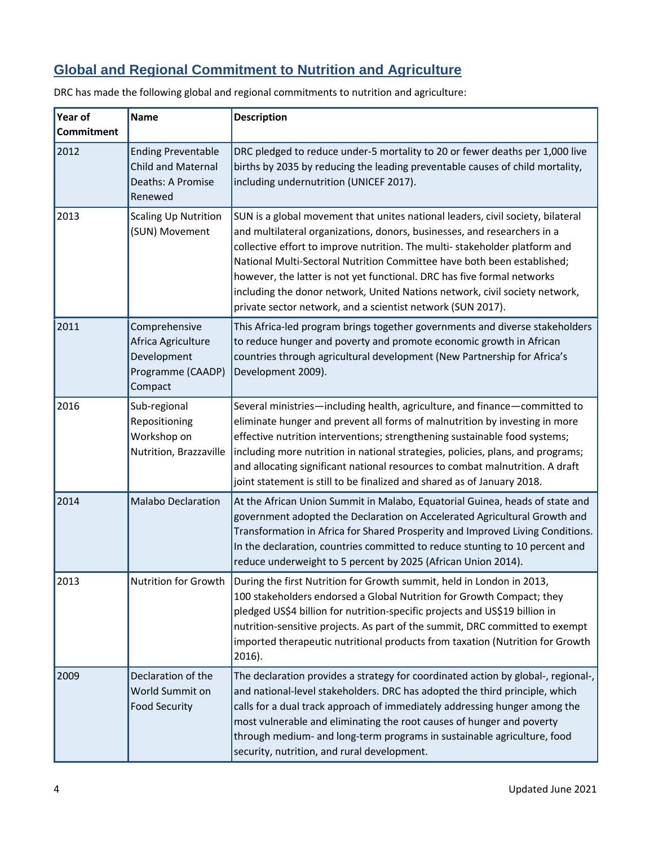## **Global and Regional Commitment to Nutrition and Agriculture**

| Year of<br>Commitment | <b>Name</b>                                                                            | <b>Description</b>                                                                                                                                                                                                                                                                                                                                                                                                                                                                                                                            |
|-----------------------|----------------------------------------------------------------------------------------|-----------------------------------------------------------------------------------------------------------------------------------------------------------------------------------------------------------------------------------------------------------------------------------------------------------------------------------------------------------------------------------------------------------------------------------------------------------------------------------------------------------------------------------------------|
| 2012                  | <b>Ending Preventable</b><br><b>Child and Maternal</b><br>Deaths: A Promise<br>Renewed | DRC pledged to reduce under-5 mortality to 20 or fewer deaths per 1,000 live<br>births by 2035 by reducing the leading preventable causes of child mortality,<br>including undernutrition (UNICEF 2017).                                                                                                                                                                                                                                                                                                                                      |
| 2013                  | <b>Scaling Up Nutrition</b><br>(SUN) Movement                                          | SUN is a global movement that unites national leaders, civil society, bilateral<br>and multilateral organizations, donors, businesses, and researchers in a<br>collective effort to improve nutrition. The multi-stakeholder platform and<br>National Multi-Sectoral Nutrition Committee have both been established;<br>however, the latter is not yet functional. DRC has five formal networks<br>including the donor network, United Nations network, civil society network,<br>private sector network, and a scientist network (SUN 2017). |
| 2011                  | Comprehensive<br>Africa Agriculture<br>Development<br>Programme (CAADP)<br>Compact     | This Africa-led program brings together governments and diverse stakeholders<br>to reduce hunger and poverty and promote economic growth in African<br>countries through agricultural development (New Partnership for Africa's<br>Development 2009).                                                                                                                                                                                                                                                                                         |
| 2016                  | Sub-regional<br>Repositioning<br>Workshop on<br>Nutrition, Brazzaville                 | Several ministries-including health, agriculture, and finance-committed to<br>eliminate hunger and prevent all forms of malnutrition by investing in more<br>effective nutrition interventions; strengthening sustainable food systems;<br>including more nutrition in national strategies, policies, plans, and programs;<br>and allocating significant national resources to combat malnutrition. A draft<br>joint statement is still to be finalized and shared as of January 2018.                                                        |
| 2014                  | <b>Malabo Declaration</b>                                                              | At the African Union Summit in Malabo, Equatorial Guinea, heads of state and<br>government adopted the Declaration on Accelerated Agricultural Growth and<br>Transformation in Africa for Shared Prosperity and Improved Living Conditions.<br>In the declaration, countries committed to reduce stunting to 10 percent and<br>reduce underweight to 5 percent by 2025 (African Union 2014).                                                                                                                                                  |
| 2013                  | Nutrition for Growth                                                                   | During the first Nutrition for Growth summit, held in London in 2013,<br>100 stakeholders endorsed a Global Nutrition for Growth Compact; they<br>pledged US\$4 billion for nutrition-specific projects and US\$19 billion in<br>nutrition-sensitive projects. As part of the summit, DRC committed to exempt<br>imported therapeutic nutritional products from taxation (Nutrition for Growth<br>2016).                                                                                                                                      |
| 2009                  | Declaration of the<br>World Summit on<br><b>Food Security</b>                          | The declaration provides a strategy for coordinated action by global-, regional-,<br>and national-level stakeholders. DRC has adopted the third principle, which<br>calls for a dual track approach of immediately addressing hunger among the<br>most vulnerable and eliminating the root causes of hunger and poverty<br>through medium- and long-term programs in sustainable agriculture, food<br>security, nutrition, and rural development.                                                                                             |

DRC has made the following global and regional commitments to nutrition and agriculture: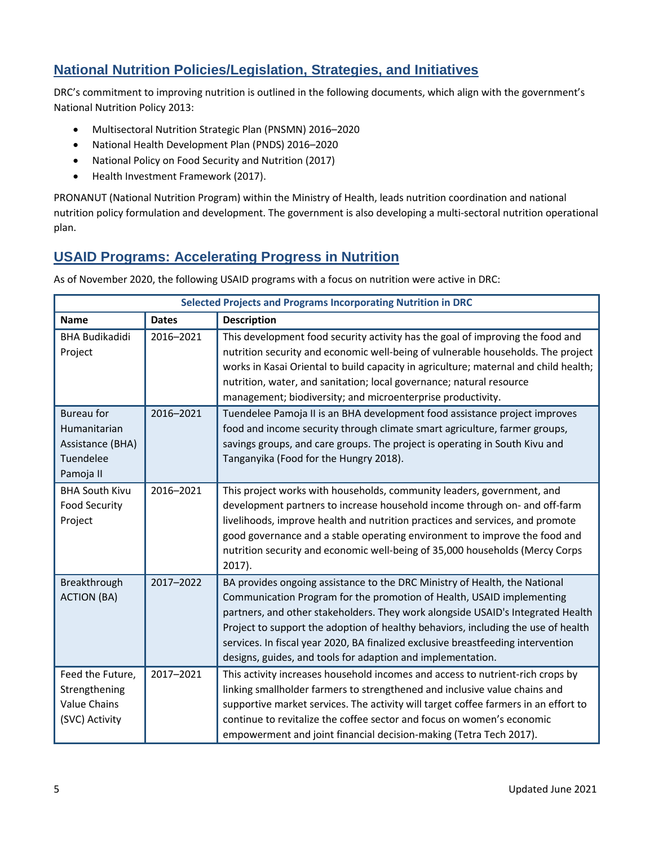### **National Nutrition Policies/Legislation, Strategies, and Initiatives**

DRC's commitment to improving nutrition is outlined in the following documents, which align with the government's National Nutrition Policy 2013:

- Multisectoral Nutrition Strategic Plan (PNSMN) 2016–2020
- National Health Development Plan (PNDS) 2016–2020
- National Policy on Food Security and Nutrition (2017)
- Health Investment Framework (2017).

PRONANUT (National Nutrition Program) within the Ministry of Health, leads nutrition coordination and national nutrition policy formulation and development. The government is also developing a multi-sectoral nutrition operational plan.

#### **USAID Programs: Accelerating Progress in Nutrition**

| <b>Selected Projects and Programs Incorporating Nutrition in DRC</b>            |              |                                                                                                                                                                                                                                                                                                                                                                                                                                                                                |  |  |
|---------------------------------------------------------------------------------|--------------|--------------------------------------------------------------------------------------------------------------------------------------------------------------------------------------------------------------------------------------------------------------------------------------------------------------------------------------------------------------------------------------------------------------------------------------------------------------------------------|--|--|
| <b>Name</b>                                                                     | <b>Dates</b> | <b>Description</b>                                                                                                                                                                                                                                                                                                                                                                                                                                                             |  |  |
| <b>BHA Budikadidi</b><br>Project                                                | 2016-2021    | This development food security activity has the goal of improving the food and<br>nutrition security and economic well-being of vulnerable households. The project<br>works in Kasai Oriental to build capacity in agriculture; maternal and child health;<br>nutrition, water, and sanitation; local governance; natural resource<br>management; biodiversity; and microenterprise productivity.                                                                              |  |  |
| <b>Bureau for</b><br>Humanitarian<br>Assistance (BHA)<br>Tuendelee<br>Pamoja II | 2016-2021    | Tuendelee Pamoja II is an BHA development food assistance project improves<br>food and income security through climate smart agriculture, farmer groups,<br>savings groups, and care groups. The project is operating in South Kivu and<br>Tanganyika (Food for the Hungry 2018).                                                                                                                                                                                              |  |  |
| <b>BHA South Kivu</b><br><b>Food Security</b><br>Project                        | 2016-2021    | This project works with households, community leaders, government, and<br>development partners to increase household income through on- and off-farm<br>livelihoods, improve health and nutrition practices and services, and promote<br>good governance and a stable operating environment to improve the food and<br>nutrition security and economic well-being of 35,000 households (Mercy Corps<br>$2017$ ).                                                               |  |  |
| Breakthrough<br><b>ACTION (BA)</b>                                              | 2017-2022    | BA provides ongoing assistance to the DRC Ministry of Health, the National<br>Communication Program for the promotion of Health, USAID implementing<br>partners, and other stakeholders. They work alongside USAID's Integrated Health<br>Project to support the adoption of healthy behaviors, including the use of health<br>services. In fiscal year 2020, BA finalized exclusive breastfeeding intervention<br>designs, guides, and tools for adaption and implementation. |  |  |
| Feed the Future,<br>Strengthening<br><b>Value Chains</b><br>(SVC) Activity      | 2017-2021    | This activity increases household incomes and access to nutrient-rich crops by<br>linking smallholder farmers to strengthened and inclusive value chains and<br>supportive market services. The activity will target coffee farmers in an effort to<br>continue to revitalize the coffee sector and focus on women's economic<br>empowerment and joint financial decision-making (Tetra Tech 2017).                                                                            |  |  |

As of November 2020, the following USAID programs with a focus on nutrition were active in DRC: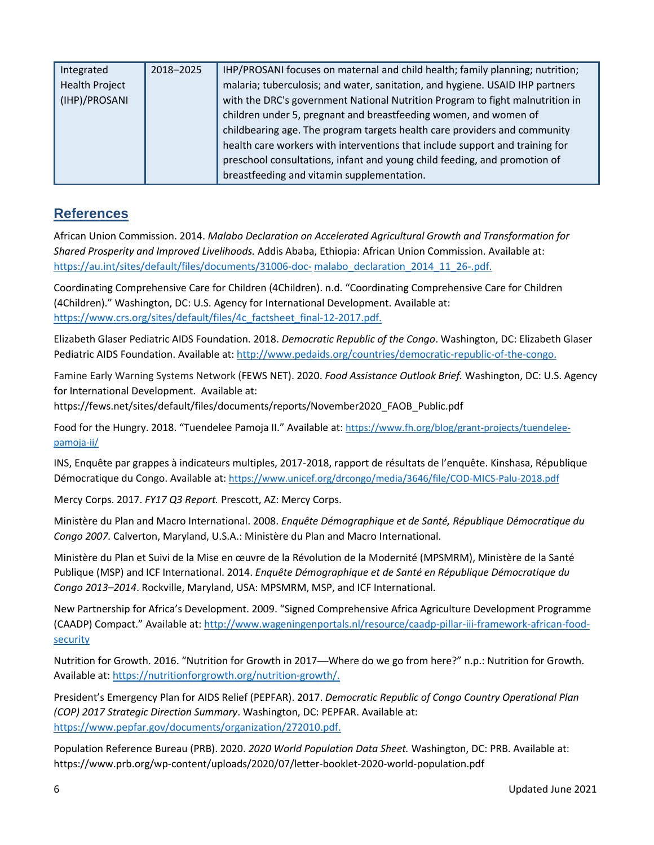| Integrated            | 2018-2025 | IHP/PROSANI focuses on maternal and child health; family planning; nutrition; |
|-----------------------|-----------|-------------------------------------------------------------------------------|
| <b>Health Project</b> |           | malaria; tuberculosis; and water, sanitation, and hygiene. USAID IHP partners |
| (IHP)/PROSANI         |           | with the DRC's government National Nutrition Program to fight malnutrition in |
|                       |           | children under 5, pregnant and breastfeeding women, and women of              |
|                       |           | childbearing age. The program targets health care providers and community     |
|                       |           | health care workers with interventions that include support and training for  |
|                       |           | preschool consultations, infant and young child feeding, and promotion of     |
|                       |           | breastfeeding and vitamin supplementation.                                    |

#### **References**

African Union Commission. 2014. *Malabo Declaration on Accelerated Agricultural Growth and Transformation for Shared Prosperity and Improved Livelihoods.* Addis Ababa, Ethiopia: African Union Commission. Available at: [https://au.int/sites/default/files/documents/31006-doc-](https://au.int/sites/default/files/documents/31006-doc-malabo_declaration_2014_11_26-.pdf) [malabo\\_declaration\\_2014\\_11\\_26-.pdf.](https://au.int/sites/default/files/documents/31006-doc-malabo_declaration_2014_11_26-.pdf)

Coordinating Comprehensive Care for Children (4Children). n.d. "Coordinating Comprehensive Care for Children (4Children)." Washington, DC: U.S. Agency for International Development. Available at: [https://www.crs.org/sites/default/files/4c\\_factsheet\\_final-12-2017.pdf.](https://www.crs.org/sites/default/files/4c_factsheet_final-12-2017.pdf)

Elizabeth Glaser Pediatric AIDS Foundation. 2018. *Democratic Republic of the Congo*. Washington, DC: Elizabeth Glaser Pediatric AIDS Foundation. Available at[: http://www.pedaids.org/countries/democratic-republic-of-the-congo.](http://www.pedaids.org/countries/democratic-republic-of-the-congo)

Famine Early Warning Systems Network (FEWS NET). 2020. *Food Assistance Outlook Brief.* Washington, DC: U.S. Agency for International Development. Available at:

https://fews.net/sites/default/files/documents/reports/November2020\_FAOB\_Public.pdf

Food for the Hungry. 2018. "Tuendelee Pamoja II." Available at: [https://www.fh.org/blog/grant-projects/tuendelee](https://www.fh.org/blog/grant-projects/tuendelee-pamoja-ii/)[pamoja-ii/](https://www.fh.org/blog/grant-projects/tuendelee-pamoja-ii/)

INS, Enquête par grappes à indicateurs multiples, 2017-2018, rapport de résultats de l'enquête. Kinshasa, République Démocratique du Congo. Available at:<https://www.unicef.org/drcongo/media/3646/file/COD-MICS-Palu-2018.pdf>

Mercy Corps. 2017. *FY17 Q3 Report.* Prescott, AZ: Mercy Corps.

Ministère du Plan and Macro International. 2008. *Enquête Démographique et de Santé, République Démocratique du Congo 2007.* Calverton, Maryland, U.S.A.: Ministère du Plan and Macro International.

Ministère du Plan et Suivi de la Mise en œuvre de la Révolution de la Modernité (MPSMRM), Ministère de la Santé Publique (MSP) and ICF International. 2014. *Enquête Démographique et de Santé en République Démocratique du Congo 2013–2014*. Rockville, Maryland, USA: MPSMRM, MSP, and ICF International.

New Partnership for Africa's Development. 2009. "Signed Comprehensive Africa Agriculture Development Programme (CAADP) Compact." Available at: http://www.wageningenportals.nl/resource/caadp-pillar-iii-framework-african-foodsecurity

Nutrition for Growth. 2016. "Nutrition for Growth in 2017—Where do we go from here?" n.p.: Nutrition for Growth. Available at[: https://nutritionforgrowth.org/nutrition-growth/.](https://nutritionforgrowth.org/nutrition-growth/)

President's Emergency Plan for AIDS Relief (PEPFAR). 2017. *Democratic Republic of Congo Country Operational Plan (COP) 2017 Strategic Direction Summary*. Washington, DC: PEPFAR. Available at: [https://www.pepfar.gov/documents/organization/272010.pdf.](https://www.pepfar.gov/documents/organization/272010.pdf)

Population Reference Bureau (PRB). 2020. *2020 World Population Data Sheet.* Washington, DC: PRB. Available at: https://www.prb.org/wp-content/uploads/2020/07/letter-booklet-2020-world-population.pdf